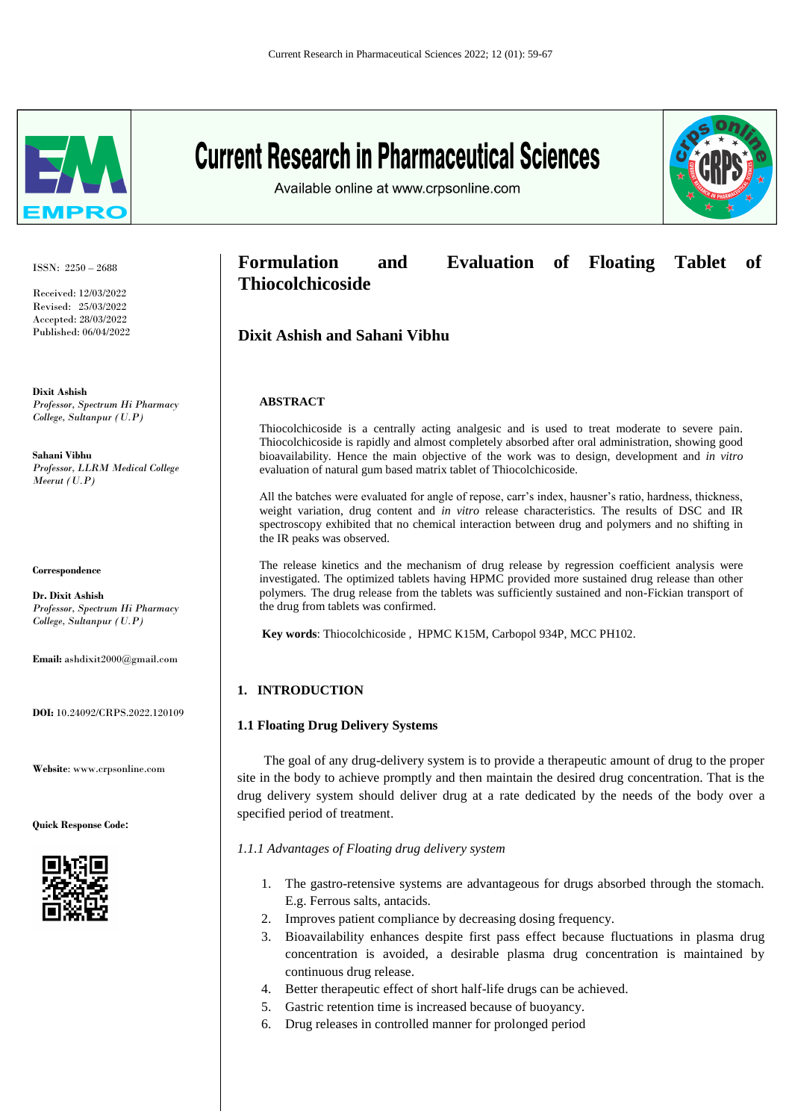

**Current Research in Pharmaceutical Sciences** 



Available online at www.crpsonline.com

ISSN: 2250 – 2688

Received: 12/03/2022 Revised: 25/03/2022 Accepted: 28/03/2022 Published: 06/04/2022

**Dixit Ashish** *Professor, Spectrum Hi Pharmacy College, Sultanpur (U.P)*

**Sahani Vibhu** *Professor, LLRM Medical College Meerut (U.P)*

**Correspondence**

**Dr. Dixit Ashish** *Professor, Spectrum Hi Pharmacy College, Sultanpur (U.P)*

**Email:** ashdixit2000@gmail.com

**DOI:** 10.24092/CRPS.2022.120109

**Website**: www.crpsonline.com

**Quick Response Code:**



**Formulation and Evaluation of Floating Tablet of Thiocolchicoside**

**Dixit Ashish and Sahani Vibhu**

### **ABSTRACT**

Thiocolchicoside is a centrally acting analgesic and is used to treat moderate to severe pain. Thiocolchicoside is rapidly and almost completely absorbed after oral administration, showing good bioavailability. Hence the main objective of the work was to design, development and *in vitro*  evaluation of natural gum based matrix tablet of Thiocolchicoside.

All the batches were evaluated for angle of repose, carr's index, hausner's ratio, hardness, thickness, weight variation, drug content and *in vitro* release characteristics. The results of DSC and IR spectroscopy exhibited that no chemical interaction between drug and polymers and no shifting in the IR peaks was observed.

The release kinetics and the mechanism of drug release by regression coefficient analysis were investigated. The optimized tablets having HPMC provided more sustained drug release than other polymers*.* The drug release from the tablets was sufficiently sustained and non-Fickian transport of the drug from tablets was confirmed.

**Key words**: Thiocolchicoside , HPMC K15M, Carbopol 934P, MCC PH102.

## **1. INTRODUCTION**

### **1.1 Floating Drug Delivery Systems**

 The goal of any drug-delivery system is to provide a therapeutic amount of drug to the proper site in the body to achieve promptly and then maintain the desired drug concentration. That is the drug delivery system should deliver drug at a rate dedicated by the needs of the body over a specified period of treatment.

*1.1.1 Advantages of Floating drug delivery system*

- 1. The gastro-retensive systems are advantageous for drugs absorbed through the stomach. E.g. Ferrous salts, antacids.
- 2. Improves patient compliance by decreasing dosing frequency.
- 3. Bioavailability enhances despite first pass effect because fluctuations in plasma drug concentration is avoided, a desirable plasma drug concentration is maintained by continuous drug release.
- 4. Better therapeutic effect of short half-life drugs can be achieved.
- 5. Gastric retention time is increased because of buoyancy.
- 6. Drug releases in controlled manner for prolonged period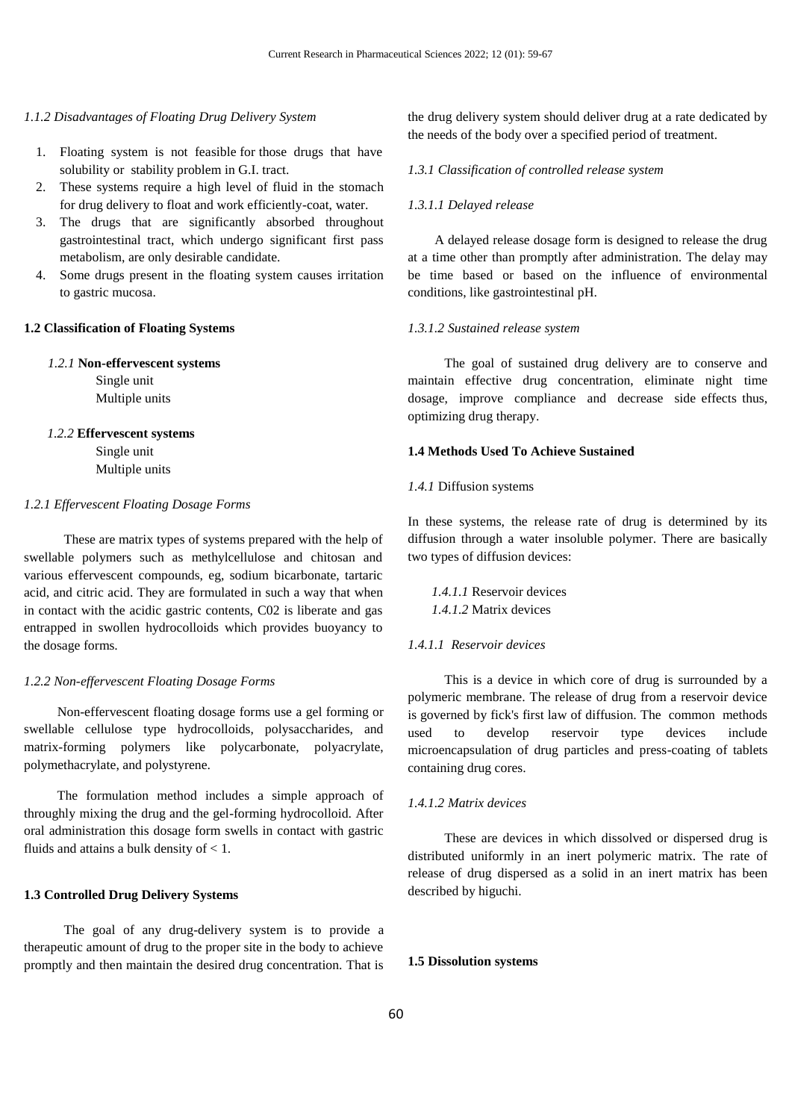#### *1.1.2 Disadvantages of Floating Drug Delivery System*

- 1. Floating system is not feasible for those drugs that have solubility or stability problem in G.I. tract.
- 2. These systems require a high level of fluid in the stomach for drug delivery to float and work efficiently-coat, water.
- 3. The drugs that are significantly absorbed throughout gastrointestinal tract, which undergo significant first pass metabolism, are only desirable candidate.
- 4. Some drugs present in the floating system causes irritation to gastric mucosa.

## **1.2 Classification of Floating Systems**

#### *1.2.1* **Non-effervescent systems**

Single unit Multiple units

### *1.2.2* **Effervescent systems**

Single unit Multiple units

### *1.2.1 Effervescent Floating Dosage Forms*

 These are matrix types of systems prepared with the help of swellable polymers such as methylcellulose and chitosan and various effervescent compounds, eg, sodium bicarbonate, tartaric acid, and citric acid. They are formulated in such a way that when in contact with the acidic gastric contents, C02 is liberate and gas entrapped in swollen hydrocolloids which provides buoyancy to the dosage forms.

## *1.2.2 Non-effervescent Floating Dosage Forms*

 Non-effervescent floating dosage forms use a gel forming or swellable cellulose type hydrocolloids, polysaccharides, and matrix-forming polymers like polycarbonate, polyacrylate, polymethacrylate, and polystyrene.

 The formulation method includes a simple approach of throughly mixing the drug and the gel-forming hydrocolloid. After oral administration this dosage form swells in contact with gastric fluids and attains a bulk density of  $< 1$ .

#### **1.3 Controlled Drug Delivery Systems**

 The goal of any drug-delivery system is to provide a therapeutic amount of drug to the proper site in the body to achieve promptly and then maintain the desired drug concentration. That is the drug delivery system should deliver drug at a rate dedicated by the needs of the body over a specified period of treatment.

## *1.3.1 Classification of controlled release system*

#### *1.3.1.1 Delayed release*

 A delayed release dosage form is designed to release the drug at a time other than promptly after administration. The delay may be time based or based on the influence of environmental conditions, like gastrointestinal pH.

#### *1.3.1.2 Sustained release system*

 The goal of sustained drug delivery are to conserve and maintain effective drug concentration, eliminate night time dosage, improve compliance and decrease side effects thus, optimizing drug therapy.

### **1.4 Methods Used To Achieve Sustained**

### *1.4.1* Diffusion systems

In these systems, the release rate of drug is determined by its diffusion through a water insoluble polymer. There are basically two types of diffusion devices:

*1.4.1.1* Reservoir devices *1.4.1.2* Matrix devices

#### *1.4.1.1 Reservoir devices*

 This is a device in which core of drug is surrounded by a polymeric membrane. The release of drug from a reservoir device is governed by fick's first law of diffusion. The common methods used to develop reservoir type devices include microencapsulation of drug particles and press-coating of tablets containing drug cores.

## *1.4.1.2 Matrix devices*

 These are devices in which dissolved or dispersed drug is distributed uniformly in an inert polymeric matrix. The rate of release of drug dispersed as a solid in an inert matrix has been described by higuchi.

#### **1.5 Dissolution systems**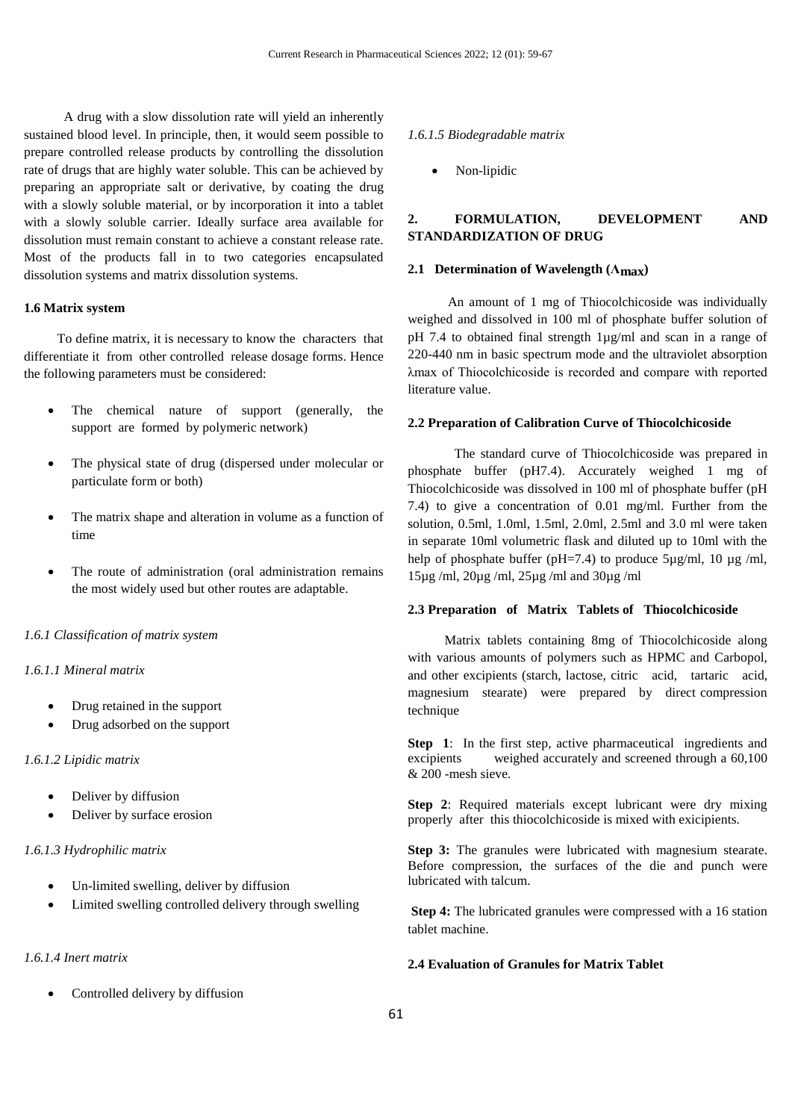A drug with a slow dissolution rate will yield an inherently sustained blood level. In principle, then, it would seem possible to prepare controlled release products by controlling the dissolution rate of drugs that are highly water soluble. This can be achieved by preparing an appropriate salt or derivative, by coating the drug with a slowly soluble material, or by incorporation it into a tablet with a slowly soluble carrier. Ideally surface area available for dissolution must remain constant to achieve a constant release rate. Most of the products fall in to two categories encapsulated dissolution systems and matrix dissolution systems.

### **1.6 Matrix system**

 To define matrix, it is necessary to know the characters that differentiate it from other controlled release dosage forms. Hence the following parameters must be considered:

- The chemical nature of support (generally, the support are formed by polymeric network)
- The physical state of drug (dispersed under molecular or particulate form or both)
- The matrix shape and alteration in volume as a function of time
- The route of administration (oral administration remains the most widely used but other routes are adaptable.

### *1.6.1 Classification of matrix system*

## *1.6.1.1 Mineral matrix*

- Drug retained in the support
- Drug adsorbed on the support

#### *1.6.1.2 Lipidic matrix*

- Deliver by diffusion
- Deliver by surface erosion

### *1.6.1.3 Hydrophilic matrix*

- Un-limited swelling, deliver by diffusion
- Limited swelling controlled delivery through swelling

## *1.6.1.4 Inert matrix*

• Controlled delivery by diffusion

#### *1.6.1.5 Biodegradable matrix*

Non-lipidic

# **2. FORMULATION, DEVELOPMENT AND STANDARDIZATION OF DRUG**

## **2.1 Determination of Wavelength (Λmax)**

 An amount of 1 mg of Thiocolchicoside was individually weighed and dissolved in 100 ml of phosphate buffer solution of pH 7.4 to obtained final strength 1µg/ml and scan in a range of 220-440 nm in basic spectrum mode and the ultraviolet absorption λmax of Thiocolchicoside is recorded and compare with reported literature value.

## **2.2 Preparation of Calibration Curve of Thiocolchicoside**

 The standard curve of Thiocolchicoside was prepared in phosphate buffer (pH7.4). Accurately weighed 1 mg of Thiocolchicoside was dissolved in 100 ml of phosphate buffer (pH 7.4) to give a concentration of 0.01 mg/ml. Further from the solution, 0.5ml, 1.0ml, 1.5ml, 2.0ml, 2.5ml and 3.0 ml were taken in separate 10ml volumetric flask and diluted up to 10ml with the help of phosphate buffer (pH=7.4) to produce  $5\mu$ g/ml, 10  $\mu$ g/ml, 15µg /ml, 20µg /ml, 25µg /ml and 30µg /ml

#### **2.3 Preparation of Matrix Tablets of Thiocolchicoside**

 Matrix tablets containing 8mg of Thiocolchicoside along with various amounts of polymers such as HPMC and Carbopol, and other excipients (starch, lactose, citric acid, tartaric acid, magnesium stearate) were prepared by direct compression technique

**Step 1**: In the first step, active pharmaceutical ingredients and excipients weighed accurately and screened through a 60,100 & 200 -mesh sieve.

**Step 2**: Required materials except lubricant were dry mixing properly after this thiocolchicoside is mixed with exicipients.

**Step 3:** The granules were lubricated with magnesium stearate. Before compression, the surfaces of the die and punch were lubricated with talcum.

**Step 4:** The lubricated granules were compressed with a 16 station tablet machine.

## **2.4 Evaluation of Granules for Matrix Tablet**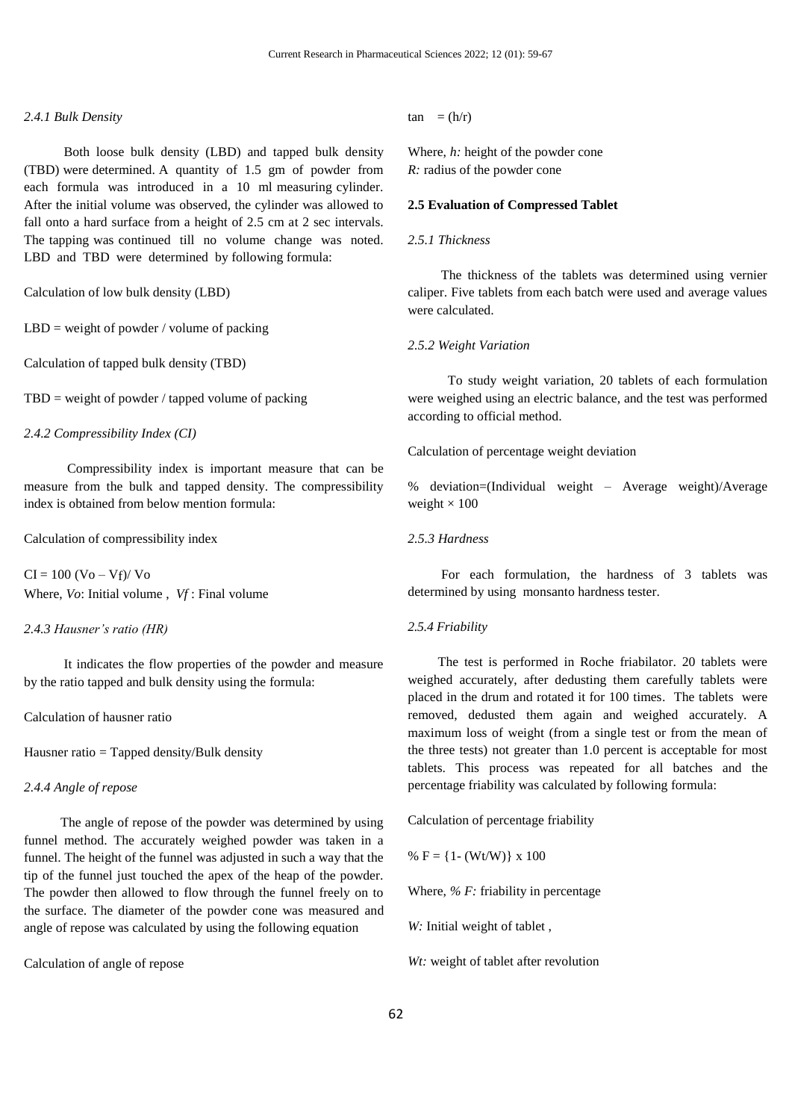#### *2.4.1 Bulk Density*

 Both loose bulk density (LBD) and tapped bulk density (TBD) were determined. A quantity of 1.5 gm of powder from each formula was introduced in a 10 ml measuring cylinder. After the initial volume was observed, the cylinder was allowed to fall onto a hard surface from a height of 2.5 cm at 2 sec intervals. The tapping was continued till no volume change was noted. LBD and TBD were determined by following formula:

Calculation of low bulk density (LBD)

 $LBD$  = weight of powder / volume of packing

Calculation of tapped bulk density (TBD)

 $TBD$  = weight of powder / tapped volume of packing

*2.4.2 Compressibility Index (CI)*

 Compressibility index is important measure that can be measure from the bulk and tapped density. The compressibility index is obtained from below mention formula:

Calculation of compressibility index

 $CI = 100 (Vo - Vf)/ Vo$ Where, *Vo*: Initial volume , *Vf* : Final volume

#### *2.4.3 Hausner's ratio (HR)*

 It indicates the flow properties of the powder and measure by the ratio tapped and bulk density using the formula:

Calculation of hausner ratio

Hausner ratio = Tapped density/Bulk density

### *2.4.4 Angle of repose*

 The angle of repose of the powder was determined by using funnel method. The accurately weighed powder was taken in a funnel. The height of the funnel was adjusted in such a way that the tip of the funnel just touched the apex of the heap of the powder. The powder then allowed to flow through the funnel freely on to the surface. The diameter of the powder cone was measured and angle of repose was calculated by using the following equation

Calculation of angle of repose

 $tan = (h/r)$ 

Where, *h:* height of the powder cone *R:* radius of the powder cone

#### **2.5 Evaluation of Compressed Tablet**

### *2.5.1 Thickness*

 The thickness of the tablets was determined using vernier caliper. Five tablets from each batch were used and average values were calculated.

#### *2.5.2 Weight Variation*

 To study weight variation, 20 tablets of each formulation were weighed using an electric balance, and the test was performed according to official method.

Calculation of percentage weight deviation

% deviation=(Individual weight – Average weight)/Average weight  $\times$  100

## *2.5.3 Hardness*

 For each formulation, the hardness of 3 tablets was determined by using monsanto hardness tester.

#### *2.5.4 Friability*

 The test is performed in Roche friabilator. 20 tablets were weighed accurately, after dedusting them carefully tablets were placed in the drum and rotated it for 100 times. The tablets were removed, dedusted them again and weighed accurately. A maximum loss of weight (from a single test or from the mean of the three tests) not greater than 1.0 percent is acceptable for most tablets. This process was repeated for all batches and the percentage friability was calculated by following formula:

Calculation of percentage friability

%  $F = \{1 - (Wt/W)\}\times 100$ 

Where, *% F:* friability in percentage

*W:* Initial weight of tablet ,

*Wt:* weight of tablet after revolution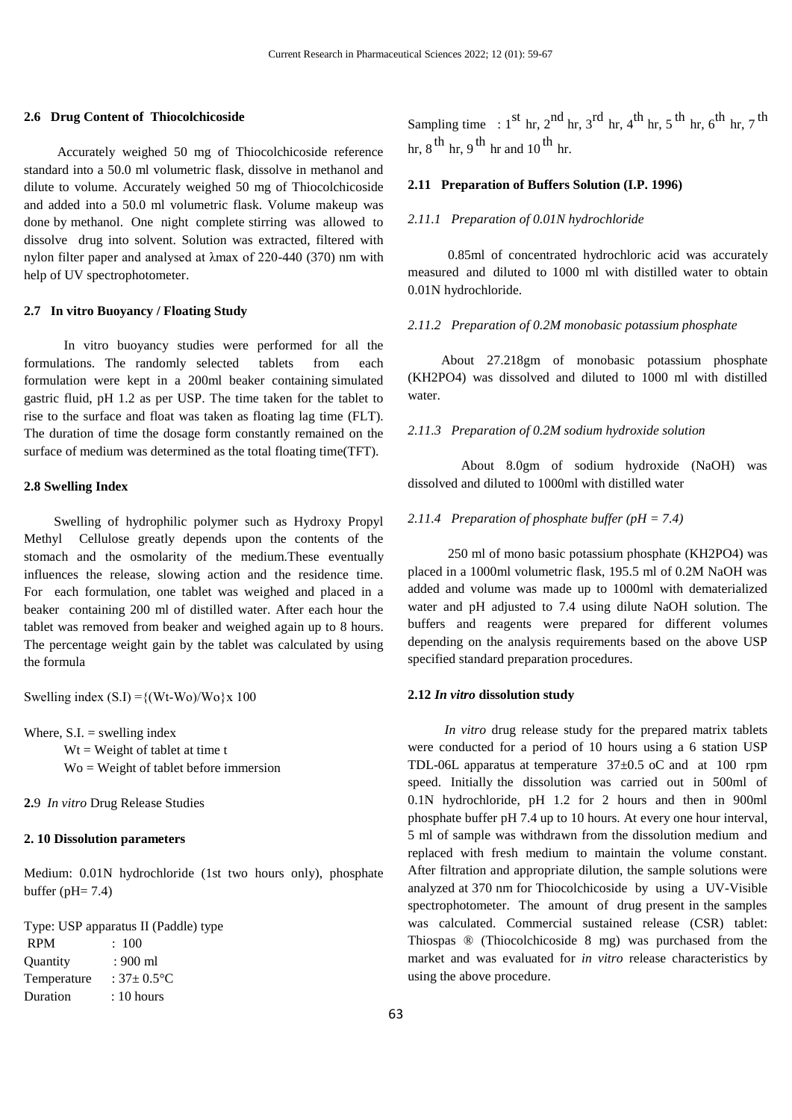#### **2.6 Drug Content of Thiocolchicoside**

 Accurately weighed 50 mg of Thiocolchicoside reference standard into a 50.0 ml volumetric flask, dissolve in methanol and dilute to volume. Accurately weighed 50 mg of Thiocolchicoside and added into a 50.0 ml volumetric flask. Volume makeup was done by methanol. One night complete stirring was allowed to dissolve drug into solvent. Solution was extracted, filtered with nylon filter paper and analysed at λmax of 220-440 (370) nm with help of UV spectrophotometer.

#### **2.7 In vitro Buoyancy / Floating Study**

 In vitro buoyancy studies were performed for all the formulations. The randomly selected tablets from each formulation were kept in a 200ml beaker containing simulated gastric fluid, pH 1.2 as per USP. The time taken for the tablet to rise to the surface and float was taken as floating lag time (FLT). The duration of time the dosage form constantly remained on the surface of medium was determined as the total floating time(TFT).

### **2.8 Swelling Index**

 Swelling of hydrophilic polymer such as Hydroxy Propyl Methyl Cellulose greatly depends upon the contents of the stomach and the osmolarity of the medium.These eventually influences the release, slowing action and the residence time. For each formulation, one tablet was weighed and placed in a beaker containing 200 ml of distilled water. After each hour the tablet was removed from beaker and weighed again up to 8 hours. The percentage weight gain by the tablet was calculated by using the formula

Swelling index  $(S.I) = \{(Wt-Wo)/Wo\} \times 100$ 

Where,  $S.I. =$  swelling index

 $Wt = Weight of tablet at time t$ Wo = Weight of tablet before immersion

**2.**9 *In vitro* Drug Release Studies

#### **2. 10 Dissolution parameters**

Medium: 0.01N hydrochloride (1st two hours only), phosphate buffer ( $pH = 7.4$ )

Type: USP apparatus II (Paddle) type

| <b>RPM</b>  | :100                 |
|-------------|----------------------|
| Ouantity    | : 900 ml             |
| Temperature | : $37 \pm 0.5$ °C    |
| Duration    | $: 10 \text{ hours}$ |
|             |                      |

Sampling time :  $1^{\text{st}}$  hr,  $2^{\text{nd}}$  hr,  $3^{\text{rd}}$  hr,  $4^{\text{th}}$  hr,  $5^{\text{th}}$  hr,  $6^{\text{th}}$  hr,  $7^{\text{th}}$ hr, 8 <sup>th</sup> hr, 9 <sup>th</sup> hr and 10 <sup>th</sup> hr.

## **2.11 Preparation of Buffers Solution (I.P. 1996)**

#### *2.11.1 Preparation of 0.01N hydrochloride*

 0.85ml of concentrated hydrochloric acid was accurately measured and diluted to 1000 ml with distilled water to obtain 0.01N hydrochloride.

### *2.11.2 Preparation of 0.2M monobasic potassium phosphate*

 About 27.218gm of monobasic potassium phosphate (KH2PO4) was dissolved and diluted to 1000 ml with distilled water.

## *2.11.3 Preparation of 0.2M sodium hydroxide solution*

 About 8.0gm of sodium hydroxide (NaOH) was dissolved and diluted to 1000ml with distilled water

### *2.11.4 Preparation of phosphate buffer (pH = 7.4)*

 250 ml of mono basic potassium phosphate (KH2PO4) was placed in a 1000ml volumetric flask, 195.5 ml of 0.2M NaOH was added and volume was made up to 1000ml with dematerialized water and pH adjusted to 7.4 using dilute NaOH solution. The buffers and reagents were prepared for different volumes depending on the analysis requirements based on the above USP specified standard preparation procedures.

### **2.12** *In vitro* **dissolution study**

 *In vitro* drug release study for the prepared matrix tablets were conducted for a period of 10 hours using a 6 station USP TDL-06L apparatus at temperature 37±0.5 oC and at 100 rpm speed. Initially the dissolution was carried out in 500ml of 0.1N hydrochloride, pH 1.2 for 2 hours and then in 900ml phosphate buffer pH 7.4 up to 10 hours. At every one hour interval, 5 ml of sample was withdrawn from the dissolution medium and replaced with fresh medium to maintain the volume constant. After filtration and appropriate dilution, the sample solutions were analyzed at 370 nm for Thiocolchicoside by using a UV-Visible spectrophotometer. The amount of drug present in the samples was calculated. Commercial sustained release (CSR) tablet: Thiospas ® (Thiocolchicoside 8 mg) was purchased from the market and was evaluated for *in vitro* release characteristics by using the above procedure.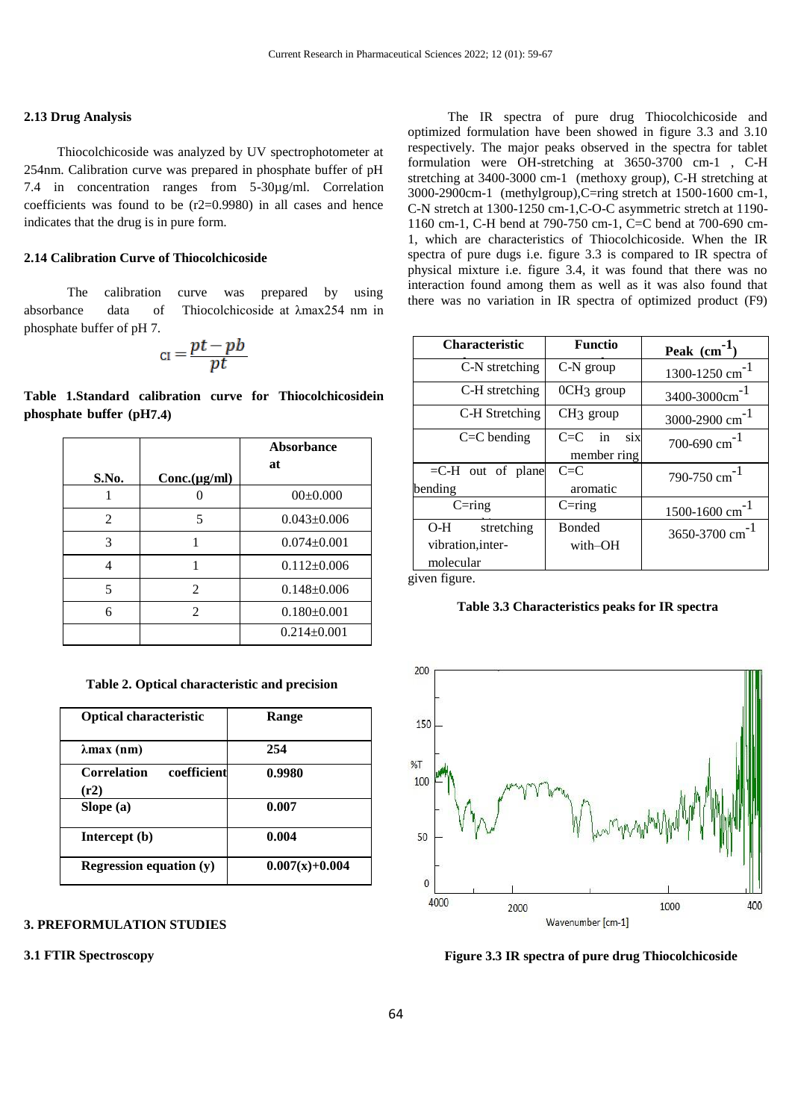#### **2.13 Drug Analysis**

 Thiocolchicoside was analyzed by UV spectrophotometer at 254nm. Calibration curve was prepared in phosphate buffer of pH 7.4 in concentration ranges from 5-30µg/ml. Correlation coefficients was found to be (r2=0.9980) in all cases and hence indicates that the drug is in pure form.

### **2.14 Calibration Curve of Thiocolchicoside**

 The calibration curve was prepared by using absorbance data of Thiocolchicoside at λmax254 nm in phosphate buffer of pH 7.

$$
_{\text{CI}} = \frac{pt - pb}{pt}
$$

**Table 1.Standard calibration curve for Thiocolchicosidein phosphate buffer (pH7.4)**

|       |               | Absorbance        |  |
|-------|---------------|-------------------|--|
| S.No. | Conc.(µg/ml)  | at                |  |
|       |               | $00\pm 0.000$     |  |
| 2     | 5             | $0.043 \pm 0.006$ |  |
| 3     |               | $0.074 \pm 0.001$ |  |
|       |               | $0.112 \pm 0.006$ |  |
| 5     | 2             | $0.148 \pm 0.006$ |  |
| 6     | $\mathcal{L}$ | $0.180 \pm 0.001$ |  |
|       |               | $0.214 \pm 0.001$ |  |

 **Table 2. Optical characteristic and precision**

30

| <b>Optical characteristic</b>             | Range            |  |  |
|-------------------------------------------|------------------|--|--|
| $\lambda$ max (nm)                        | 254              |  |  |
| coefficient<br><b>Correlation</b><br>(r2) | 0.9980           |  |  |
| Slope (a)                                 | 0.007            |  |  |
| Intercept (b)                             | 0.004            |  |  |
| Regression equation $(y)$                 | $0.007(x)+0.004$ |  |  |

## **3. PREFORMULATION STUDIES**

#### **3.1 FTIR Spectroscopy**

7

 The IR spectra of pure drug Thiocolchicoside and optimized formulation have been showed in figure 3.3 and 3.10 respectively. The major peaks observed in the spectra for tablet formulation were OH-stretching at 3650-3700 cm-1 , C-H stretching at 3400-3000 cm-1 (methoxy group), C-H stretching at 3000-2900cm-1 (methylgroup),C=ring stretch at 1500-1600 cm-1, C-N stretch at 1300-1250 cm-1,C-O-C asymmetric stretch at 1190- 1160 cm-1, C-H bend at 790-750 cm-1, C=C bend at 700-690 cm-1, which are characteristics of Thiocolchicoside. When the IR spectra of pure dugs i.e. figure 3.3 is compared to IR spectra of physical mixture i.e. figure 3.4, it was found that there was no interaction found among them as well as it was also found that there was no variation in IR spectra of optimized product (F9)

| <b>Characteristic</b> | <b>Functio</b>               | Peak $(cm-1$                                               |  |  |
|-----------------------|------------------------------|------------------------------------------------------------|--|--|
| C-N stretching        | C-N group                    | $1300-1250$ cm <sup>-1</sup>                               |  |  |
| C-H stretching        | 0CH3 group                   | 3400-3000cm <sup>-1</sup>                                  |  |  |
| C-H Stretching        | CH <sub>3</sub> group        | 3000-2900 $\text{cm}^{-1}$                                 |  |  |
| $C = C$ bending       | in<br>$C=$ $C$<br><b>SiX</b> | 700-690 $cm^{-1}$                                          |  |  |
|                       | member ring                  |                                                            |  |  |
| $=$ C-H out of plane  | $C=$ $C$                     | $790-750$ cm <sup>-1</sup>                                 |  |  |
| bending               | aromatic                     |                                                            |  |  |
| $C = ring$            | $C = ring$                   | $\frac{1500 - 1600 \text{ cm}^{-1}}{1500 \text{ cm}^{-1}}$ |  |  |
| stretching<br>O-H –   | <b>Bonded</b>                | $3650 - 3700$ cm <sup>-1</sup>                             |  |  |
| vibration, inter-     | with-OH                      |                                                            |  |  |
| molecular             |                              |                                                            |  |  |

given figure.

**Table 3.3 Characteristics peaks for IR spectra**



 **Figure 3.3 IR spectra of pure drug Thiocolchicoside**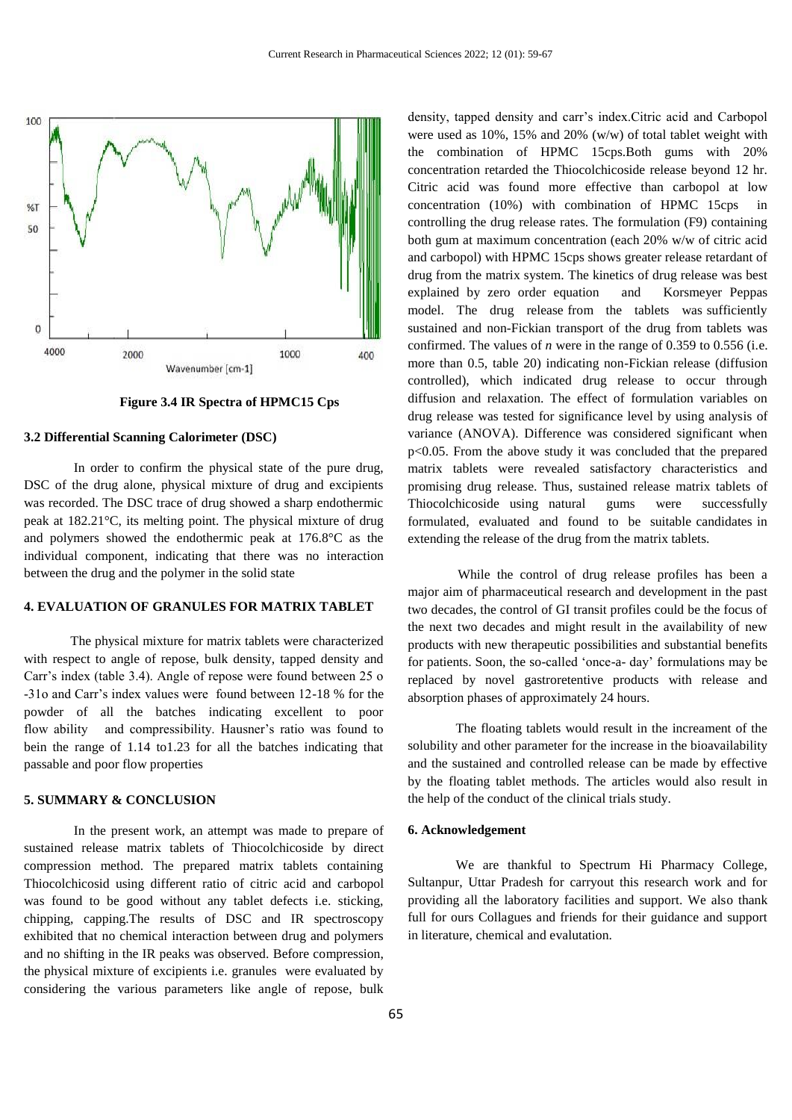

### **Figure 3.4 IR Spectra of HPMC15 Cps**

### **3.2 Differential Scanning Calorimeter (DSC)**

 In order to confirm the physical state of the pure drug, DSC of the drug alone, physical mixture of drug and excipients was recorded. The DSC trace of drug showed a sharp endothermic peak at 182.21°C, its melting point. The physical mixture of drug and polymers showed the endothermic peak at 176.8°C as the individual component, indicating that there was no interaction between the drug and the polymer in the solid state

## **4. EVALUATION OF GRANULES FOR MATRIX TABLET**

 The physical mixture for matrix tablets were characterized with respect to angle of repose, bulk density, tapped density and Carr's index (table 3.4). Angle of repose were found between 25 o -31o and Carr's index values were found between 12-18 % for the powder of all the batches indicating excellent to poor flow ability and compressibility. Hausner's ratio was found to bein the range of 1.14 to1.23 for all the batches indicating that passable and poor flow properties

## **5. SUMMARY & CONCLUSION**

 In the present work, an attempt was made to prepare of sustained release matrix tablets of Thiocolchicoside by direct compression method. The prepared matrix tablets containing Thiocolchicosid using different ratio of citric acid and carbopol was found to be good without any tablet defects i.e. sticking, chipping, capping.The results of DSC and IR spectroscopy exhibited that no chemical interaction between drug and polymers and no shifting in the IR peaks was observed. Before compression, the physical mixture of excipients i.e. granules were evaluated by considering the various parameters like angle of repose, bulk

density, tapped density and carr's index.Citric acid and Carbopol were used as 10%, 15% and 20% (w/w) of total tablet weight with the combination of HPMC 15cps.Both gums with 20% concentration retarded the Thiocolchicoside release beyond 12 hr. Citric acid was found more effective than carbopol at low concentration  $(10\%)$  with combination of HPMC 15cps controlling the drug release rates. The formulation (F9) containing both gum at maximum concentration (each 20% w/w of citric acid and carbopol) with HPMC 15cps shows greater release retardant of drug from the matrix system. The kinetics of drug release was best explained by zero order equation and Korsmeyer Peppas model. The drug release from the tablets was sufficiently sustained and non-Fickian transport of the drug from tablets was confirmed. The values of *n* were in the range of 0.359 to 0.556 (i.e. more than 0.5, table 20) indicating non-Fickian release (diffusion controlled), which indicated drug release to occur through diffusion and relaxation. The effect of formulation variables on drug release was tested for significance level by using analysis of variance (ANOVA). Difference was considered significant when p<0.05. From the above study it was concluded that the prepared matrix tablets were revealed satisfactory characteristics and promising drug release. Thus, sustained release matrix tablets of Thiocolchicoside using natural gums were successfully formulated, evaluated and found to be suitable candidates in extending the release of the drug from the matrix tablets.

 While the control of drug release profiles has been a major aim of pharmaceutical research and development in the past two decades, the control of GI transit profiles could be the focus of the next two decades and might result in the availability of new products with new therapeutic possibilities and substantial benefits for patients. Soon, the so-called 'once-a- day' formulations may be replaced by novel gastroretentive products with release and absorption phases of approximately 24 hours.

 The floating tablets would result in the increament of the solubility and other parameter for the increase in the bioavailability and the sustained and controlled release can be made by effective by the floating tablet methods. The articles would also result in the help of the conduct of the clinical trials study.

#### **6. Acknowledgement**

 We are thankful to Spectrum Hi Pharmacy College, Sultanpur, Uttar Pradesh for carryout this research work and for providing all the laboratory facilities and support. We also thank full for ours Collagues and friends for their guidance and support in literature, chemical and evalutation.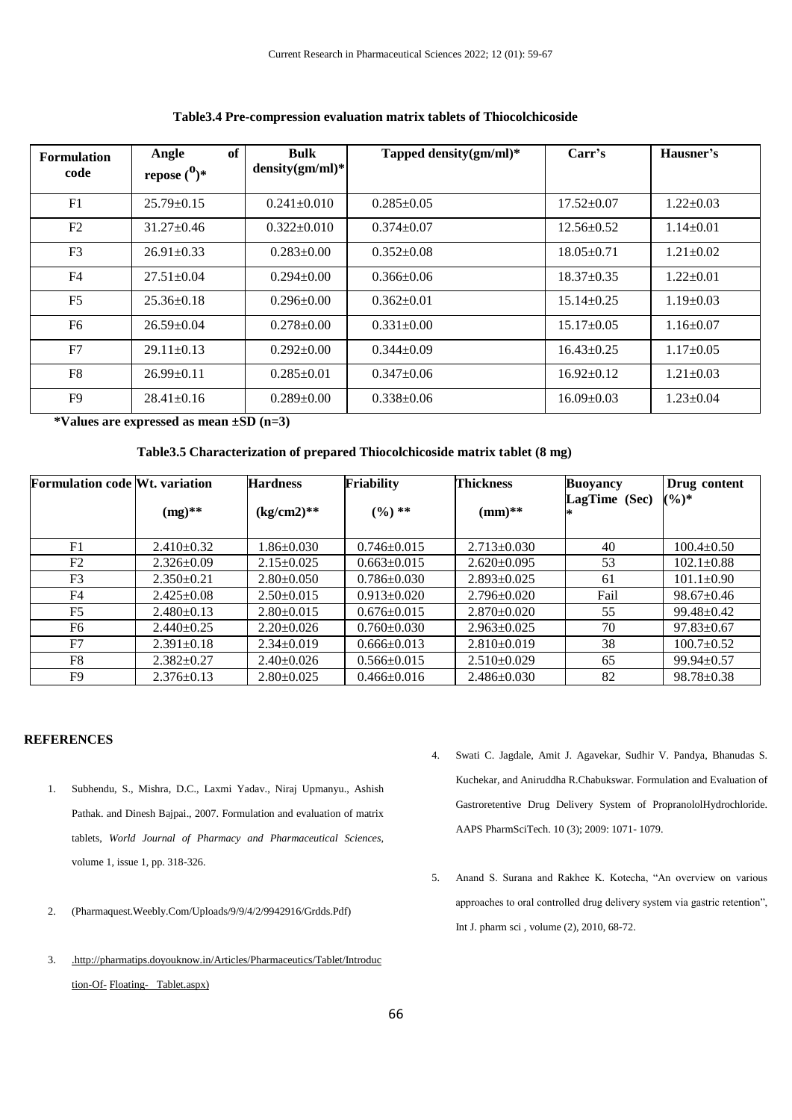| <b>Formulation</b><br>code | of<br>Angle<br>repose $\binom{0}{x}$ | Bulk<br>$density(gm/ml)^*$ | Tapped density(gm/ml)* | Carr's           | Hausner's       |
|----------------------------|--------------------------------------|----------------------------|------------------------|------------------|-----------------|
| F1                         | $25.79 \pm 0.15$                     | $0.241 \pm 0.010$          | $0.285 \pm 0.05$       | $17.52 \pm 0.07$ | $1.22+0.03$     |
| F2                         | $31.27 \pm 0.46$                     | $0.322 \pm 0.010$          | $0.374 + 0.07$         | $12.56 + 0.52$   | $1.14 \pm 0.01$ |
| F <sub>3</sub>             | $26.91 \pm 0.33$                     | $0.283 \pm 0.00$           | $0.352 \pm 0.08$       | $18.05 \pm 0.71$ | $1.21 \pm 0.02$ |
| F <sub>4</sub>             | $27.51 \pm 0.04$                     | $0.294 + 0.00$             | $0.366 \pm 0.06$       | $18.37 \pm 0.35$ | $1.22 \pm 0.01$ |
| F <sub>5</sub>             | $25.36 \pm 0.18$                     | $0.296 \pm 0.00$           | $0.362+0.01$           | $15.14 \pm 0.25$ | $1.19 \pm 0.03$ |
| F <sub>6</sub>             | $26.59 \pm 0.04$                     | $0.278 \pm 0.00$           | $0.331 \pm 0.00$       | $15.17 \pm 0.05$ | $1.16 \pm 0.07$ |
| F7                         | $29.11 \pm 0.13$                     | $0.292 \pm 0.00$           | $0.344 \pm 0.09$       | $16.43 \pm 0.25$ | $1.17 \pm 0.05$ |
| F8                         | $26.99 \pm 0.11$                     | $0.285 \pm 0.01$           | $0.347 \pm 0.06$       | $16.92 \pm 0.12$ | $1.21 \pm 0.03$ |
| F9                         | $28.41 \pm 0.16$                     | $0.289 \pm 0.00$           | $0.338 \pm 0.06$       | $16.09 \pm 0.03$ | $1.23 \pm 0.04$ |

### **Table3.4 Pre-compression evaluation matrix tablets of Thiocolchicoside**

 **\*Values are expressed as mean ±SD (n=3)**

## **Table3.5 Characterization of prepared Thiocolchicoside matrix tablet (8 mg)**

| <b>Formulation code Wt. variation</b> |                  | <b>Hardness</b>  | <b>Friability</b> | <b>Thickness</b>  | <b>Buoyancy</b> | Drug content     |
|---------------------------------------|------------------|------------------|-------------------|-------------------|-----------------|------------------|
|                                       | $(mg)$ **        | $(kg/cm2)**$     | $(\%)$ **         | $(mm)$ **         | LagTime (Sec)   | $(\%)^*$         |
| F1                                    | $2.410\pm0.32$   | $1.86 \pm 0.030$ | $0.746 \pm 0.015$ | $2.713 \pm 0.030$ | 40              | $100.4 \pm 0.50$ |
| F2                                    | $2.326 \pm 0.09$ | $2.15 \pm 0.025$ | $0.663 \pm 0.015$ | $2.620 \pm 0.095$ | 53              | $102.1 \pm 0.88$ |
| F <sub>3</sub>                        | $2.350+0.21$     | $2.80 \pm 0.050$ | $0.786 \pm 0.030$ | $2.893 \pm 0.025$ | 61              | $101.1 \pm 0.90$ |
| F4                                    | $2.425 \pm 0.08$ | $2.50 \pm 0.015$ | $0.913 \pm 0.020$ | $2.796 \pm 0.020$ | Fail            | $98.67 \pm 0.46$ |
| F <sub>5</sub>                        | $2.480+0.13$     | $2.80+0.015$     | $0.676 \pm 0.015$ | $2.870+0.020$     | 55              | $99.48 \pm 0.42$ |
| F6                                    | $2.440 \pm 0.25$ | $2.20 \pm 0.026$ | $0.760 \pm 0.030$ | $2.963 \pm 0.025$ | 70              | $97.83 \pm 0.67$ |
| F7                                    | $2.391 \pm 0.18$ | $2.34 \pm 0.019$ | $0.666 \pm 0.013$ | $2.810+0.019$     | 38              | $100.7 \pm 0.52$ |
| F8                                    | $2.382 \pm 0.27$ | $2.40 \pm 0.026$ | $0.566 \pm 0.015$ | $2.510\pm0.029$   | 65              | $99.94 \pm 0.57$ |
| F9                                    | $2.376 \pm 0.13$ | $2.80 \pm 0.025$ | $0.466 \pm 0.016$ | $2.486 \pm 0.030$ | 82              | $98.78 \pm 0.38$ |

### **REFERENCES**

- 1. Subhendu, S., Mishra, D.C., Laxmi Yadav., Niraj Upmanyu., Ashish Pathak. and Dinesh Bajpai., 2007. Formulation and evaluation of matrix tablets, *World Journal of Pharmacy and Pharmaceutical Sciences,*  volume 1, issue 1, pp. 318-326.
- 2. (Pharmaquest.Weebly.Com/Uploads/9/9/4/2/9942916/Grdds.Pdf)
- 3. [.http://pharmatips.doyouknow.in/Articles/Pharmaceutics/Tablet/Introduc](http://pharmatips.doyouknow.in/Articles/Pharmaceutics/Tablet/Introduction-Of-Floating-%20%20%20Tablet.aspx) [tion-Of-](http://pharmatips.doyouknow.in/Articles/Pharmaceutics/Tablet/Introduction-Of-Floating-%20%20%20Tablet.aspx) [Floating- Tablet.aspx\)](http://pharmatips.doyouknow.in/Articles/Pharmaceutics/Tablet/Introduction-Of-Floating-%20%20%20Tablet.aspx)
- 4. Swati C. Jagdale, Amit J. Agavekar, Sudhir V. Pandya, Bhanudas S. Kuchekar, and Aniruddha R.Chabukswar. Formulation and Evaluation of Gastroretentive Drug Delivery System of PropranololHydrochloride. AAPS PharmSciTech. 10 (3); 2009: 1071- 1079.
- 5. Anand S. Surana and Rakhee K. Kotecha, "An overview on various approaches to oral controlled drug delivery system via gastric retention", Int J. pharm sci , volume (2), 2010, 68-72.